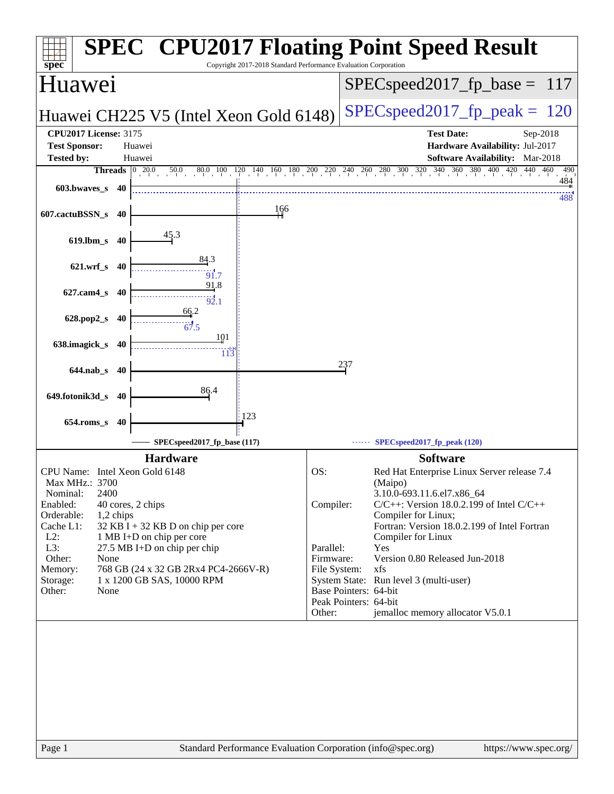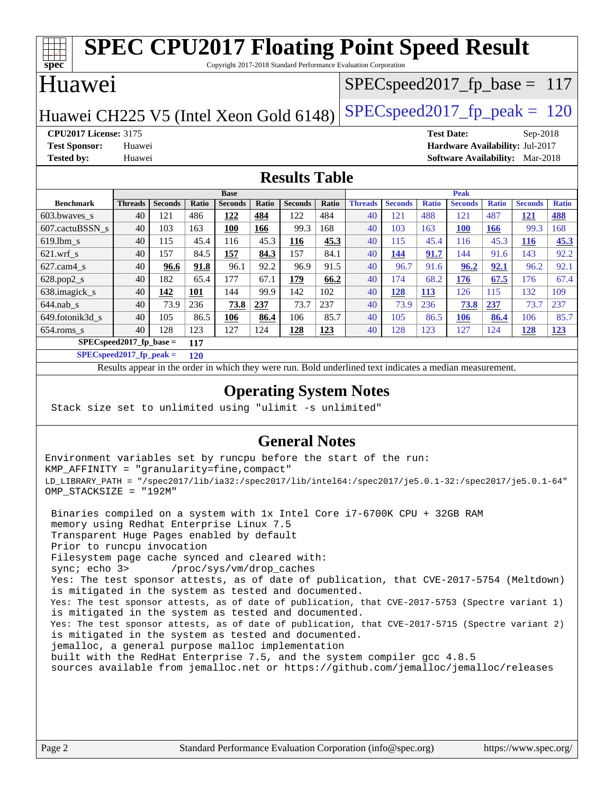#### **[spec](http://www.spec.org/) [SPEC CPU2017 Floating Point Speed Result](http://www.spec.org/auto/cpu2017/Docs/result-fields.html#SPECCPU2017FloatingPointSpeedResult)** Copyright 2017-2018 Standard Performance Evaluation Corporation Huawei Huawei CH225 V5 (Intel Xeon Gold 6148) SPECspeed 2017 fp peak  $= 120$ SPECspeed2017 fp base =  $117$ **[CPU2017 License:](http://www.spec.org/auto/cpu2017/Docs/result-fields.html#CPU2017License)** 3175 **[Test Date:](http://www.spec.org/auto/cpu2017/Docs/result-fields.html#TestDate)** Sep-2018 **[Test Sponsor:](http://www.spec.org/auto/cpu2017/Docs/result-fields.html#TestSponsor)** Huawei **[Hardware Availability:](http://www.spec.org/auto/cpu2017/Docs/result-fields.html#HardwareAvailability)** Jul-2017 **[Tested by:](http://www.spec.org/auto/cpu2017/Docs/result-fields.html#Testedby)** Huawei **[Software Availability:](http://www.spec.org/auto/cpu2017/Docs/result-fields.html#SoftwareAvailability)** Mar-2018 **[Results Table](http://www.spec.org/auto/cpu2017/Docs/result-fields.html#ResultsTable) [Benchmark](http://www.spec.org/auto/cpu2017/Docs/result-fields.html#Benchmark) [Threads](http://www.spec.org/auto/cpu2017/Docs/result-fields.html#Threads) [Seconds](http://www.spec.org/auto/cpu2017/Docs/result-fields.html#Seconds) [Ratio](http://www.spec.org/auto/cpu2017/Docs/result-fields.html#Ratio) [Seconds](http://www.spec.org/auto/cpu2017/Docs/result-fields.html#Seconds) [Ratio](http://www.spec.org/auto/cpu2017/Docs/result-fields.html#Ratio) [Seconds](http://www.spec.org/auto/cpu2017/Docs/result-fields.html#Seconds) [Ratio](http://www.spec.org/auto/cpu2017/Docs/result-fields.html#Ratio) Base [Threads](http://www.spec.org/auto/cpu2017/Docs/result-fields.html#Threads) [Seconds](http://www.spec.org/auto/cpu2017/Docs/result-fields.html#Seconds) [Ratio](http://www.spec.org/auto/cpu2017/Docs/result-fields.html#Ratio) [Seconds](http://www.spec.org/auto/cpu2017/Docs/result-fields.html#Seconds) [Ratio](http://www.spec.org/auto/cpu2017/Docs/result-fields.html#Ratio) [Seconds](http://www.spec.org/auto/cpu2017/Docs/result-fields.html#Seconds) [Ratio](http://www.spec.org/auto/cpu2017/Docs/result-fields.html#Ratio) Peak** [603.bwaves\\_s](http://www.spec.org/auto/cpu2017/Docs/benchmarks/603.bwaves_s.html) 40 121 486 **[122](http://www.spec.org/auto/cpu2017/Docs/result-fields.html#Median) [484](http://www.spec.org/auto/cpu2017/Docs/result-fields.html#Median)** 122 484 40 121 488 121 487 **[121](http://www.spec.org/auto/cpu2017/Docs/result-fields.html#Median) [488](http://www.spec.org/auto/cpu2017/Docs/result-fields.html#Median)** [607.cactuBSSN\\_s](http://www.spec.org/auto/cpu2017/Docs/benchmarks/607.cactuBSSN_s.html) 40 103 163 **[100](http://www.spec.org/auto/cpu2017/Docs/result-fields.html#Median) [166](http://www.spec.org/auto/cpu2017/Docs/result-fields.html#Median)** 99.3 168 40 103 163 **[100](http://www.spec.org/auto/cpu2017/Docs/result-fields.html#Median) [166](http://www.spec.org/auto/cpu2017/Docs/result-fields.html#Median)** 99.3 168 [619.lbm\\_s](http://www.spec.org/auto/cpu2017/Docs/benchmarks/619.lbm_s.html) 40 115 45.4 116 45.3 **[116](http://www.spec.org/auto/cpu2017/Docs/result-fields.html#Median) [45.3](http://www.spec.org/auto/cpu2017/Docs/result-fields.html#Median)** 40 115 45.4 116 45.3 **[116](http://www.spec.org/auto/cpu2017/Docs/result-fields.html#Median) [45.3](http://www.spec.org/auto/cpu2017/Docs/result-fields.html#Median)** [621.wrf\\_s](http://www.spec.org/auto/cpu2017/Docs/benchmarks/621.wrf_s.html) 40 157 84.5 **[157](http://www.spec.org/auto/cpu2017/Docs/result-fields.html#Median) [84.3](http://www.spec.org/auto/cpu2017/Docs/result-fields.html#Median)** 157 84.1 40 **[144](http://www.spec.org/auto/cpu2017/Docs/result-fields.html#Median) [91.7](http://www.spec.org/auto/cpu2017/Docs/result-fields.html#Median)** 144 91.6 143 92.2 [627.cam4\\_s](http://www.spec.org/auto/cpu2017/Docs/benchmarks/627.cam4_s.html) 40 **[96.6](http://www.spec.org/auto/cpu2017/Docs/result-fields.html#Median) [91.8](http://www.spec.org/auto/cpu2017/Docs/result-fields.html#Median)** 96.1 92.2 96.9 91.5 40 96.7 91.6 **[96.2](http://www.spec.org/auto/cpu2017/Docs/result-fields.html#Median) [92.1](http://www.spec.org/auto/cpu2017/Docs/result-fields.html#Median)** 96.2 92.1 [628.pop2\\_s](http://www.spec.org/auto/cpu2017/Docs/benchmarks/628.pop2_s.html) 40 182 65.4 177 67.1 **[179](http://www.spec.org/auto/cpu2017/Docs/result-fields.html#Median) [66.2](http://www.spec.org/auto/cpu2017/Docs/result-fields.html#Median)** 40 174 68.2 **[176](http://www.spec.org/auto/cpu2017/Docs/result-fields.html#Median) [67.5](http://www.spec.org/auto/cpu2017/Docs/result-fields.html#Median)** 176 67.4 [638.imagick\\_s](http://www.spec.org/auto/cpu2017/Docs/benchmarks/638.imagick_s.html) 40 **[142](http://www.spec.org/auto/cpu2017/Docs/result-fields.html#Median) [101](http://www.spec.org/auto/cpu2017/Docs/result-fields.html#Median)** 144 99.9 142 102 40 **[128](http://www.spec.org/auto/cpu2017/Docs/result-fields.html#Median) [113](http://www.spec.org/auto/cpu2017/Docs/result-fields.html#Median)** 126 115 132 109 [644.nab\\_s](http://www.spec.org/auto/cpu2017/Docs/benchmarks/644.nab_s.html) 40 73.9 236 **[73.8](http://www.spec.org/auto/cpu2017/Docs/result-fields.html#Median) [237](http://www.spec.org/auto/cpu2017/Docs/result-fields.html#Median)** 73.7 237 40 73.9 236 **[73.8](http://www.spec.org/auto/cpu2017/Docs/result-fields.html#Median) [237](http://www.spec.org/auto/cpu2017/Docs/result-fields.html#Median)** 73.7 237 [649.fotonik3d\\_s](http://www.spec.org/auto/cpu2017/Docs/benchmarks/649.fotonik3d_s.html) 40 105 86.5 **[106](http://www.spec.org/auto/cpu2017/Docs/result-fields.html#Median) [86.4](http://www.spec.org/auto/cpu2017/Docs/result-fields.html#Median)** 106 85.7 40 105 86.5 **[106](http://www.spec.org/auto/cpu2017/Docs/result-fields.html#Median) [86.4](http://www.spec.org/auto/cpu2017/Docs/result-fields.html#Median)** 106 85.7 [654.roms\\_s](http://www.spec.org/auto/cpu2017/Docs/benchmarks/654.roms_s.html) 40 128 123 127 124 **[128](http://www.spec.org/auto/cpu2017/Docs/result-fields.html#Median) [123](http://www.spec.org/auto/cpu2017/Docs/result-fields.html#Median)** 40 128 123 127 124 **[128](http://www.spec.org/auto/cpu2017/Docs/result-fields.html#Median) [123](http://www.spec.org/auto/cpu2017/Docs/result-fields.html#Median)**

**[SPECspeed2017\\_fp\\_base =](http://www.spec.org/auto/cpu2017/Docs/result-fields.html#SPECspeed2017fpbase) 117 [SPECspeed2017\\_fp\\_peak =](http://www.spec.org/auto/cpu2017/Docs/result-fields.html#SPECspeed2017fppeak) 120**

Results appear in the [order in which they were run.](http://www.spec.org/auto/cpu2017/Docs/result-fields.html#RunOrder) Bold underlined text [indicates a median measurement](http://www.spec.org/auto/cpu2017/Docs/result-fields.html#Median).

### **[Operating System Notes](http://www.spec.org/auto/cpu2017/Docs/result-fields.html#OperatingSystemNotes)**

Stack size set to unlimited using "ulimit -s unlimited"

### **[General Notes](http://www.spec.org/auto/cpu2017/Docs/result-fields.html#GeneralNotes)**

Environment variables set by runcpu before the start of the run: KMP\_AFFINITY = "granularity=fine,compact" LD\_LIBRARY\_PATH = "/spec2017/lib/ia32:/spec2017/lib/intel64:/spec2017/je5.0.1-32:/spec2017/je5.0.1-64" OMP\_STACKSIZE = "192M"

 Binaries compiled on a system with 1x Intel Core i7-6700K CPU + 32GB RAM memory using Redhat Enterprise Linux 7.5 Transparent Huge Pages enabled by default Prior to runcpu invocation Filesystem page cache synced and cleared with: sync; echo 3> /proc/sys/vm/drop\_caches Yes: The test sponsor attests, as of date of publication, that CVE-2017-5754 (Meltdown) is mitigated in the system as tested and documented. Yes: The test sponsor attests, as of date of publication, that CVE-2017-5753 (Spectre variant 1) is mitigated in the system as tested and documented. Yes: The test sponsor attests, as of date of publication, that CVE-2017-5715 (Spectre variant 2) is mitigated in the system as tested and documented. jemalloc, a general purpose malloc implementation built with the RedHat Enterprise 7.5, and the system compiler gcc 4.8.5 sources available from jemalloc.net or <https://github.com/jemalloc/jemalloc/releases>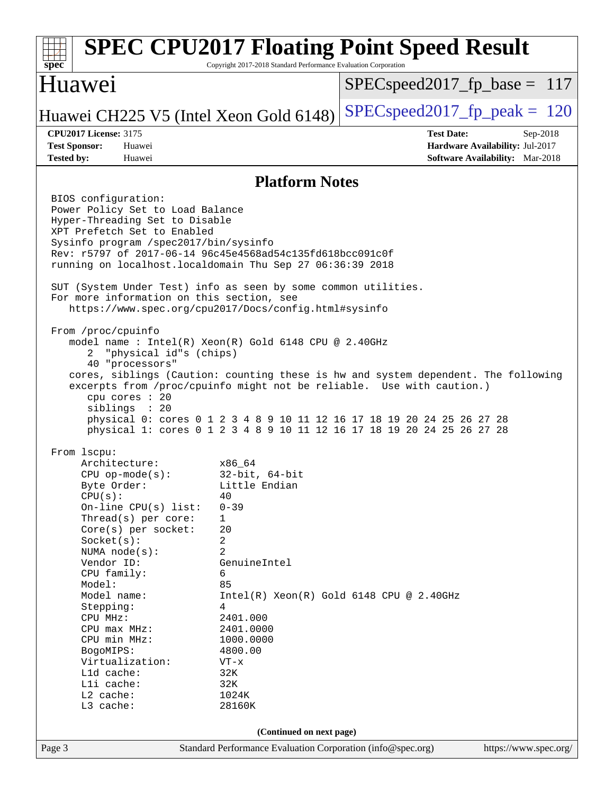### Page 3 Standard Performance Evaluation Corporation [\(info@spec.org\)](mailto:info@spec.org) <https://www.spec.org/> **[spec](http://www.spec.org/) [SPEC CPU2017 Floating Point Speed Result](http://www.spec.org/auto/cpu2017/Docs/result-fields.html#SPECCPU2017FloatingPointSpeedResult)** Copyright 2017-2018 Standard Performance Evaluation Corporation Huawei Huawei CH225 V5 (Intel Xeon Gold 6148) SPECspeed 2017 fp peak  $= 120$ SPECspeed2017 fp base =  $117$ **[CPU2017 License:](http://www.spec.org/auto/cpu2017/Docs/result-fields.html#CPU2017License)** 3175 **[Test Date:](http://www.spec.org/auto/cpu2017/Docs/result-fields.html#TestDate)** Sep-2018 **[Test Sponsor:](http://www.spec.org/auto/cpu2017/Docs/result-fields.html#TestSponsor)** Huawei **[Hardware Availability:](http://www.spec.org/auto/cpu2017/Docs/result-fields.html#HardwareAvailability)** Jul-2017 **[Tested by:](http://www.spec.org/auto/cpu2017/Docs/result-fields.html#Testedby)** Huawei **[Software Availability:](http://www.spec.org/auto/cpu2017/Docs/result-fields.html#SoftwareAvailability)** Mar-2018 **[Platform Notes](http://www.spec.org/auto/cpu2017/Docs/result-fields.html#PlatformNotes)** BIOS configuration: Power Policy Set to Load Balance Hyper-Threading Set to Disable XPT Prefetch Set to Enabled Sysinfo program /spec2017/bin/sysinfo Rev: r5797 of 2017-06-14 96c45e4568ad54c135fd618bcc091c0f running on localhost.localdomain Thu Sep 27 06:36:39 2018 SUT (System Under Test) info as seen by some common utilities. For more information on this section, see <https://www.spec.org/cpu2017/Docs/config.html#sysinfo> From /proc/cpuinfo model name : Intel(R) Xeon(R) Gold 6148 CPU @ 2.40GHz 2 "physical id"s (chips) 40 "processors" cores, siblings (Caution: counting these is hw and system dependent. The following excerpts from /proc/cpuinfo might not be reliable. Use with caution.) cpu cores : 20 siblings : 20 physical 0: cores 0 1 2 3 4 8 9 10 11 12 16 17 18 19 20 24 25 26 27 28 physical 1: cores 0 1 2 3 4 8 9 10 11 12 16 17 18 19 20 24 25 26 27 28 From lscpu: Architecture: x86\_64 CPU op-mode(s): 32-bit, 64-bit Byte Order: Little Endian  $CPU(s):$  40 On-line CPU(s) list: 0-39 Thread(s) per core: 1 Core(s) per socket: 20 Socket(s): 2 NUMA node(s): 2 Vendor ID: GenuineIntel CPU family: 6 Model: 85 Model name:  $Intel(R)$  Xeon(R) Gold 6148 CPU @ 2.40GHz Stepping: 4 CPU MHz: 2401.000 CPU max MHz: 2401.0000 CPU min MHz: 1000.0000 BogoMIPS: 4800.00 Virtualization: VT-x L1d cache: 32K<br>
L1i cache: 32K  $L1i$  cache: L2 cache: 1024K L3 cache: 28160K **(Continued on next page)**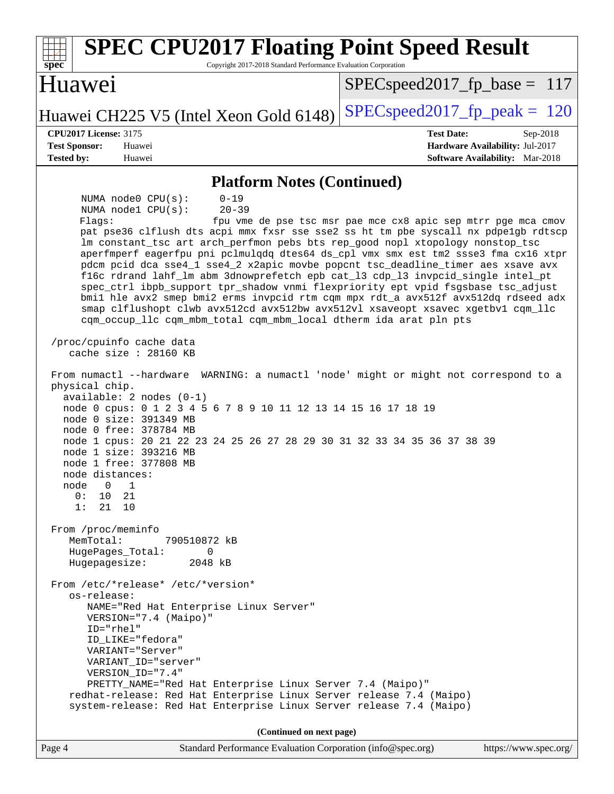| <b>SPEC CPU2017 Floating Point Speed Result</b><br>Copyright 2017-2018 Standard Performance Evaluation Corporation<br>spec <sup>®</sup>                                                                                                                                                                                                                                                                                                                                                                                                                                                                                                                                                                                                                                                                                                                                                                       |                                                                                                              |  |
|---------------------------------------------------------------------------------------------------------------------------------------------------------------------------------------------------------------------------------------------------------------------------------------------------------------------------------------------------------------------------------------------------------------------------------------------------------------------------------------------------------------------------------------------------------------------------------------------------------------------------------------------------------------------------------------------------------------------------------------------------------------------------------------------------------------------------------------------------------------------------------------------------------------|--------------------------------------------------------------------------------------------------------------|--|
| Huawei                                                                                                                                                                                                                                                                                                                                                                                                                                                                                                                                                                                                                                                                                                                                                                                                                                                                                                        | $SPEC speed2017_f p\_base = 117$                                                                             |  |
| Huawei CH225 V5 (Intel Xeon Gold 6148)                                                                                                                                                                                                                                                                                                                                                                                                                                                                                                                                                                                                                                                                                                                                                                                                                                                                        | $SPEC speed2017_fp\_peak = 120$                                                                              |  |
| <b>CPU2017 License: 3175</b><br><b>Test Sponsor:</b><br>Huawei<br><b>Tested by:</b><br>Huawei                                                                                                                                                                                                                                                                                                                                                                                                                                                                                                                                                                                                                                                                                                                                                                                                                 | <b>Test Date:</b><br>$Sep-2018$<br>Hardware Availability: Jul-2017<br><b>Software Availability:</b> Mar-2018 |  |
| <b>Platform Notes (Continued)</b>                                                                                                                                                                                                                                                                                                                                                                                                                                                                                                                                                                                                                                                                                                                                                                                                                                                                             |                                                                                                              |  |
| $0 - 19$<br>NUMA $node0$ $CPU(s)$ :<br>$20 - 39$<br>NUMA nodel CPU(s):<br>Flagg:<br>pat pse36 clflush dts acpi mmx fxsr sse sse2 ss ht tm pbe syscall nx pdpe1gb rdtscp<br>lm constant_tsc art arch_perfmon pebs bts rep_good nopl xtopology nonstop_tsc<br>aperfmperf eagerfpu pni pclmulqdq dtes64 ds_cpl vmx smx est tm2 ssse3 fma cx16 xtpr<br>pdcm pcid dca sse4_1 sse4_2 x2apic movbe popcnt tsc_deadline_timer aes xsave avx<br>f16c rdrand lahf_lm abm 3dnowprefetch epb cat_13 cdp_13 invpcid_single intel_pt<br>spec_ctrl ibpb_support tpr_shadow vnmi flexpriority ept vpid fsgsbase tsc_adjust<br>bmil hle avx2 smep bmi2 erms invpcid rtm cqm mpx rdt_a avx512f avx512dq rdseed adx<br>smap clflushopt clwb avx512cd avx512bw avx512vl xsaveopt xsavec xgetbvl cqm_llc<br>cqm_occup_llc cqm_mbm_total cqm_mbm_local dtherm ida arat pln pts<br>/proc/cpuinfo cache data<br>cache size : 28160 KB | fpu vme de pse tsc msr pae mce cx8 apic sep mtrr pge mca cmov                                                |  |
| From numactl --hardware WARNING: a numactl 'node' might or might not correspond to a<br>physical chip.<br>$available: 2 nodes (0-1)$<br>node 0 cpus: 0 1 2 3 4 5 6 7 8 9 10 11 12 13 14 15 16 17 18 19<br>node 0 size: 391349 MB<br>node 0 free: 378784 MB<br>node 1 cpus: 20 21 22 23 24 25 26 27 28 29 30 31 32 33 34 35 36 37 38 39<br>node 1 size: 393216 MB<br>node 1 free: 377808 MB<br>node distances:<br>node 0 1<br>0:<br>10<br>21<br>1: 21 10                                                                                                                                                                                                                                                                                                                                                                                                                                                       |                                                                                                              |  |
| From /proc/meminfo<br>MemTotal:<br>790510872 kB<br>HugePages_Total:<br>0<br>Hugepagesize: 2048 kB                                                                                                                                                                                                                                                                                                                                                                                                                                                                                                                                                                                                                                                                                                                                                                                                             |                                                                                                              |  |
| From /etc/*release* /etc/*version*<br>os-release:<br>NAME="Red Hat Enterprise Linux Server"<br>VERSION="7.4 (Maipo)"<br>ID="rhel"<br>ID_LIKE="fedora"<br>VARIANT="Server"<br>VARIANT_ID="server"<br>VERSION_ID="7.4"<br>PRETTY_NAME="Red Hat Enterprise Linux Server 7.4 (Maipo)"<br>redhat-release: Red Hat Enterprise Linux Server release 7.4 (Maipo)<br>system-release: Red Hat Enterprise Linux Server release 7.4 (Maipo)                                                                                                                                                                                                                                                                                                                                                                                                                                                                               |                                                                                                              |  |
| (Continued on next page)                                                                                                                                                                                                                                                                                                                                                                                                                                                                                                                                                                                                                                                                                                                                                                                                                                                                                      |                                                                                                              |  |
| Standard Performance Evaluation Corporation (info@spec.org)<br>Page 4                                                                                                                                                                                                                                                                                                                                                                                                                                                                                                                                                                                                                                                                                                                                                                                                                                         | https://www.spec.org/                                                                                        |  |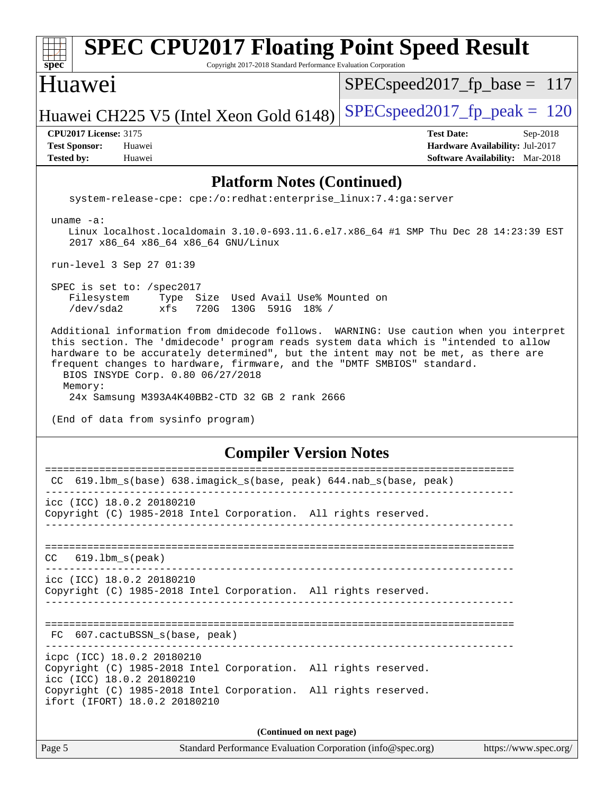### Page 5 Standard Performance Evaluation Corporation [\(info@spec.org\)](mailto:info@spec.org) <https://www.spec.org/> **[spec](http://www.spec.org/) [SPEC CPU2017 Floating Point Speed Result](http://www.spec.org/auto/cpu2017/Docs/result-fields.html#SPECCPU2017FloatingPointSpeedResult)** Copyright 2017-2018 Standard Performance Evaluation Corporation Huawei Huawei CH225 V5 (Intel Xeon Gold 6148) SPECspeed 2017 fp peak  $= 120$ SPECspeed2017 fp base =  $117$ **[CPU2017 License:](http://www.spec.org/auto/cpu2017/Docs/result-fields.html#CPU2017License)** 3175 **[Test Date:](http://www.spec.org/auto/cpu2017/Docs/result-fields.html#TestDate)** Sep-2018 **[Test Sponsor:](http://www.spec.org/auto/cpu2017/Docs/result-fields.html#TestSponsor)** Huawei **[Hardware Availability:](http://www.spec.org/auto/cpu2017/Docs/result-fields.html#HardwareAvailability)** Jul-2017 **[Tested by:](http://www.spec.org/auto/cpu2017/Docs/result-fields.html#Testedby)** Huawei **[Software Availability:](http://www.spec.org/auto/cpu2017/Docs/result-fields.html#SoftwareAvailability)** Mar-2018 **[Platform Notes \(Continued\)](http://www.spec.org/auto/cpu2017/Docs/result-fields.html#PlatformNotes)** system-release-cpe: cpe:/o:redhat:enterprise\_linux:7.4:ga:server uname -a: Linux localhost.localdomain 3.10.0-693.11.6.el7.x86\_64 #1 SMP Thu Dec 28 14:23:39 EST 2017 x86\_64 x86\_64 x86\_64 GNU/Linux run-level 3 Sep 27 01:39 SPEC is set to: /spec2017 Filesystem Type Size Used Avail Use% Mounted on /dev/sda2 xfs 720G 130G 591G 18% / Additional information from dmidecode follows. WARNING: Use caution when you interpret this section. The 'dmidecode' program reads system data which is "intended to allow hardware to be accurately determined", but the intent may not be met, as there are frequent changes to hardware, firmware, and the "DMTF SMBIOS" standard. BIOS INSYDE Corp. 0.80 06/27/2018 Memory: 24x Samsung M393A4K40BB2-CTD 32 GB 2 rank 2666 (End of data from sysinfo program) **[Compiler Version Notes](http://www.spec.org/auto/cpu2017/Docs/result-fields.html#CompilerVersionNotes)** ============================================================================== CC 619.lbm\_s(base) 638.imagick\_s(base, peak) 644.nab\_s(base, peak) ----------------------------------------------------------------------------- icc (ICC) 18.0.2 20180210 Copyright (C) 1985-2018 Intel Corporation. All rights reserved. ------------------------------------------------------------------------------ ============================================================================== CC 619.lbm\_s(peak) ----------------------------------------------------------------------------- icc (ICC) 18.0.2 20180210 Copyright (C) 1985-2018 Intel Corporation. All rights reserved. ------------------------------------------------------------------------------ ============================================================================== FC 607.cactuBSSN s(base, peak) ----------------------------------------------------------------------------- icpc (ICC) 18.0.2 20180210 Copyright (C) 1985-2018 Intel Corporation. All rights reserved. icc (ICC) 18.0.2 20180210 Copyright (C) 1985-2018 Intel Corporation. All rights reserved. ifort (IFORT) 18.0.2 20180210 **(Continued on next page)**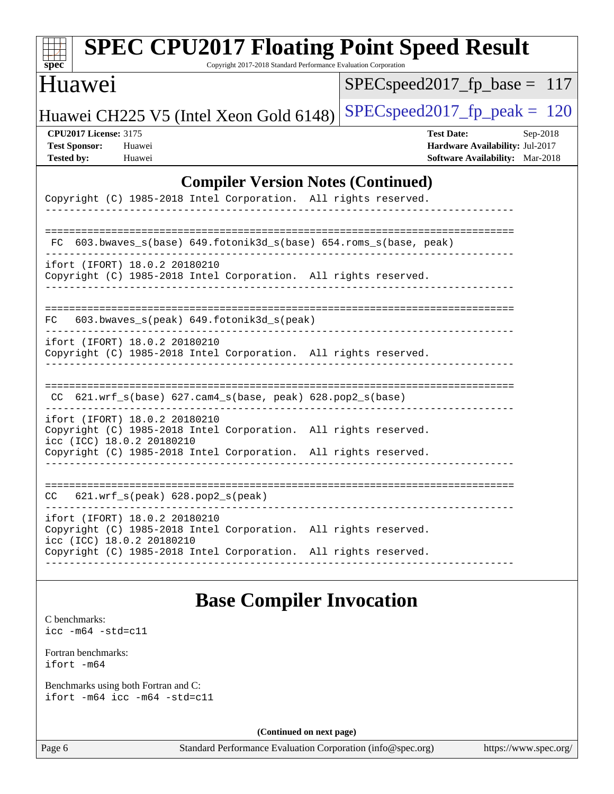| <b>SPEC CPU2017 Floating Point Speed Result</b><br>$spec^*$<br>Copyright 2017-2018 Standard Performance Evaluation Corporation |                                                                                                            |  |
|--------------------------------------------------------------------------------------------------------------------------------|------------------------------------------------------------------------------------------------------------|--|
| Huawei                                                                                                                         | $SPEC speed2017$ fp base = 117                                                                             |  |
| Huawei CH225 V5 (Intel Xeon Gold 6148)                                                                                         | $SPEC speed2017_fp\_peak = 120$                                                                            |  |
| <b>CPU2017 License: 3175</b><br><b>Test Sponsor:</b><br>Huawei<br><b>Tested by:</b><br>Huawei                                  | <b>Test Date:</b><br>Sep-2018<br>Hardware Availability: Jul-2017<br><b>Software Availability:</b> Mar-2018 |  |
| <b>Compiler Version Notes (Continued)</b>                                                                                      |                                                                                                            |  |
| Copyright (C) 1985-2018 Intel Corporation. All rights reserved.                                                                |                                                                                                            |  |
| ==========================<br>603.bwaves_s(base) 649.fotonik3d_s(base) 654.roms_s(base, peak)<br>FC.                           |                                                                                                            |  |
| ifort (IFORT) 18.0.2 20180210<br>Copyright (C) 1985-2018 Intel Corporation. All rights reserved.                               |                                                                                                            |  |
| 603.bwaves_s(peak) 649.fotonik3d_s(peak)<br>FC.                                                                                |                                                                                                            |  |
| ifort (IFORT) 18.0.2 20180210<br>Copyright (C) 1985-2018 Intel Corporation. All rights reserved.                               |                                                                                                            |  |
| $CC$ 621.wrf_s(base) 627.cam4_s(base, peak) 628.pop2_s(base)                                                                   |                                                                                                            |  |
| ifort (IFORT) 18.0.2 20180210<br>Copyright (C) 1985-2018 Intel Corporation. All rights reserved.<br>icc (ICC) 18.0.2 20180210  |                                                                                                            |  |
| Copyright (C) 1985-2018 Intel Corporation. All rights reserved.                                                                |                                                                                                            |  |
| 621.wrf_s(peak) 628.pop2_s(peak)<br>CC.                                                                                        |                                                                                                            |  |
| ifort (IFORT) 18.0.2 20180210<br>Copyright (C) 1985-2018 Intel Corporation. All rights reserved.<br>icc (ICC) 18.0.2 20180210  |                                                                                                            |  |
| Copyright (C) 1985-2018 Intel Corporation. All rights reserved.                                                                |                                                                                                            |  |
|                                                                                                                                |                                                                                                            |  |

# **[Base Compiler Invocation](http://www.spec.org/auto/cpu2017/Docs/result-fields.html#BaseCompilerInvocation)**

[C benchmarks](http://www.spec.org/auto/cpu2017/Docs/result-fields.html#Cbenchmarks): [icc -m64 -std=c11](http://www.spec.org/cpu2017/results/res2018q4/cpu2017-20181007-09082.flags.html#user_CCbase_intel_icc_64bit_c11_33ee0cdaae7deeeab2a9725423ba97205ce30f63b9926c2519791662299b76a0318f32ddfffdc46587804de3178b4f9328c46fa7c2b0cd779d7a61945c91cd35)

[Fortran benchmarks](http://www.spec.org/auto/cpu2017/Docs/result-fields.html#Fortranbenchmarks): [ifort -m64](http://www.spec.org/cpu2017/results/res2018q4/cpu2017-20181007-09082.flags.html#user_FCbase_intel_ifort_64bit_24f2bb282fbaeffd6157abe4f878425411749daecae9a33200eee2bee2fe76f3b89351d69a8130dd5949958ce389cf37ff59a95e7a40d588e8d3a57e0c3fd751)

[Benchmarks using both Fortran and C](http://www.spec.org/auto/cpu2017/Docs/result-fields.html#BenchmarksusingbothFortranandC): [ifort -m64](http://www.spec.org/cpu2017/results/res2018q4/cpu2017-20181007-09082.flags.html#user_CC_FCbase_intel_ifort_64bit_24f2bb282fbaeffd6157abe4f878425411749daecae9a33200eee2bee2fe76f3b89351d69a8130dd5949958ce389cf37ff59a95e7a40d588e8d3a57e0c3fd751) [icc -m64 -std=c11](http://www.spec.org/cpu2017/results/res2018q4/cpu2017-20181007-09082.flags.html#user_CC_FCbase_intel_icc_64bit_c11_33ee0cdaae7deeeab2a9725423ba97205ce30f63b9926c2519791662299b76a0318f32ddfffdc46587804de3178b4f9328c46fa7c2b0cd779d7a61945c91cd35)

**(Continued on next page)**

Page 6 Standard Performance Evaluation Corporation [\(info@spec.org\)](mailto:info@spec.org) <https://www.spec.org/>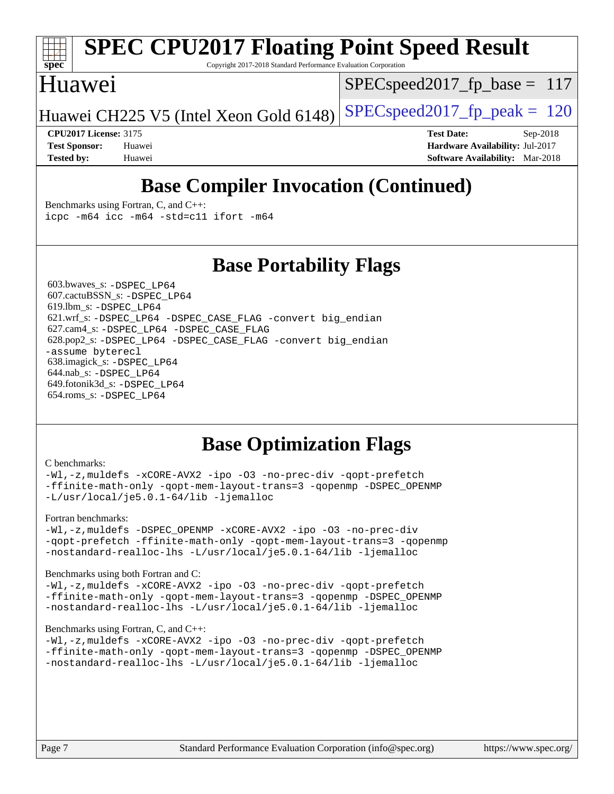

# **[SPEC CPU2017 Floating Point Speed Result](http://www.spec.org/auto/cpu2017/Docs/result-fields.html#SPECCPU2017FloatingPointSpeedResult)**

Copyright 2017-2018 Standard Performance Evaluation Corporation

### Huawei

SPECspeed2017 fp base =  $117$ 

Huawei CH225 V5 (Intel Xeon Gold 6148) SPECspeed 2017 fp peak  $= 120$ 

**[CPU2017 License:](http://www.spec.org/auto/cpu2017/Docs/result-fields.html#CPU2017License)** 3175 **[Test Date:](http://www.spec.org/auto/cpu2017/Docs/result-fields.html#TestDate)** Sep-2018 **[Test Sponsor:](http://www.spec.org/auto/cpu2017/Docs/result-fields.html#TestSponsor)** Huawei **[Hardware Availability:](http://www.spec.org/auto/cpu2017/Docs/result-fields.html#HardwareAvailability)** Jul-2017 **[Tested by:](http://www.spec.org/auto/cpu2017/Docs/result-fields.html#Testedby)** Huawei **[Software Availability:](http://www.spec.org/auto/cpu2017/Docs/result-fields.html#SoftwareAvailability)** Mar-2018

## **[Base Compiler Invocation \(Continued\)](http://www.spec.org/auto/cpu2017/Docs/result-fields.html#BaseCompilerInvocation)**

[Benchmarks using Fortran, C, and C++:](http://www.spec.org/auto/cpu2017/Docs/result-fields.html#BenchmarksusingFortranCandCXX) [icpc -m64](http://www.spec.org/cpu2017/results/res2018q4/cpu2017-20181007-09082.flags.html#user_CC_CXX_FCbase_intel_icpc_64bit_4ecb2543ae3f1412ef961e0650ca070fec7b7afdcd6ed48761b84423119d1bf6bdf5cad15b44d48e7256388bc77273b966e5eb805aefd121eb22e9299b2ec9d9) [icc -m64 -std=c11](http://www.spec.org/cpu2017/results/res2018q4/cpu2017-20181007-09082.flags.html#user_CC_CXX_FCbase_intel_icc_64bit_c11_33ee0cdaae7deeeab2a9725423ba97205ce30f63b9926c2519791662299b76a0318f32ddfffdc46587804de3178b4f9328c46fa7c2b0cd779d7a61945c91cd35) [ifort -m64](http://www.spec.org/cpu2017/results/res2018q4/cpu2017-20181007-09082.flags.html#user_CC_CXX_FCbase_intel_ifort_64bit_24f2bb282fbaeffd6157abe4f878425411749daecae9a33200eee2bee2fe76f3b89351d69a8130dd5949958ce389cf37ff59a95e7a40d588e8d3a57e0c3fd751)

### **[Base Portability Flags](http://www.spec.org/auto/cpu2017/Docs/result-fields.html#BasePortabilityFlags)**

 603.bwaves\_s: [-DSPEC\\_LP64](http://www.spec.org/cpu2017/results/res2018q4/cpu2017-20181007-09082.flags.html#suite_basePORTABILITY603_bwaves_s_DSPEC_LP64) 607.cactuBSSN\_s: [-DSPEC\\_LP64](http://www.spec.org/cpu2017/results/res2018q4/cpu2017-20181007-09082.flags.html#suite_basePORTABILITY607_cactuBSSN_s_DSPEC_LP64) 619.lbm\_s: [-DSPEC\\_LP64](http://www.spec.org/cpu2017/results/res2018q4/cpu2017-20181007-09082.flags.html#suite_basePORTABILITY619_lbm_s_DSPEC_LP64) 621.wrf\_s: [-DSPEC\\_LP64](http://www.spec.org/cpu2017/results/res2018q4/cpu2017-20181007-09082.flags.html#suite_basePORTABILITY621_wrf_s_DSPEC_LP64) [-DSPEC\\_CASE\\_FLAG](http://www.spec.org/cpu2017/results/res2018q4/cpu2017-20181007-09082.flags.html#b621.wrf_s_baseCPORTABILITY_DSPEC_CASE_FLAG) [-convert big\\_endian](http://www.spec.org/cpu2017/results/res2018q4/cpu2017-20181007-09082.flags.html#user_baseFPORTABILITY621_wrf_s_convert_big_endian_c3194028bc08c63ac5d04de18c48ce6d347e4e562e8892b8bdbdc0214820426deb8554edfa529a3fb25a586e65a3d812c835984020483e7e73212c4d31a38223) 627.cam4\_s: [-DSPEC\\_LP64](http://www.spec.org/cpu2017/results/res2018q4/cpu2017-20181007-09082.flags.html#suite_basePORTABILITY627_cam4_s_DSPEC_LP64) [-DSPEC\\_CASE\\_FLAG](http://www.spec.org/cpu2017/results/res2018q4/cpu2017-20181007-09082.flags.html#b627.cam4_s_baseCPORTABILITY_DSPEC_CASE_FLAG) 628.pop2\_s: [-DSPEC\\_LP64](http://www.spec.org/cpu2017/results/res2018q4/cpu2017-20181007-09082.flags.html#suite_basePORTABILITY628_pop2_s_DSPEC_LP64) [-DSPEC\\_CASE\\_FLAG](http://www.spec.org/cpu2017/results/res2018q4/cpu2017-20181007-09082.flags.html#b628.pop2_s_baseCPORTABILITY_DSPEC_CASE_FLAG) [-convert big\\_endian](http://www.spec.org/cpu2017/results/res2018q4/cpu2017-20181007-09082.flags.html#user_baseFPORTABILITY628_pop2_s_convert_big_endian_c3194028bc08c63ac5d04de18c48ce6d347e4e562e8892b8bdbdc0214820426deb8554edfa529a3fb25a586e65a3d812c835984020483e7e73212c4d31a38223) [-assume byterecl](http://www.spec.org/cpu2017/results/res2018q4/cpu2017-20181007-09082.flags.html#user_baseFPORTABILITY628_pop2_s_assume_byterecl_7e47d18b9513cf18525430bbf0f2177aa9bf368bc7a059c09b2c06a34b53bd3447c950d3f8d6c70e3faf3a05c8557d66a5798b567902e8849adc142926523472) 638.imagick\_s: [-DSPEC\\_LP64](http://www.spec.org/cpu2017/results/res2018q4/cpu2017-20181007-09082.flags.html#suite_basePORTABILITY638_imagick_s_DSPEC_LP64) 644.nab\_s: [-DSPEC\\_LP64](http://www.spec.org/cpu2017/results/res2018q4/cpu2017-20181007-09082.flags.html#suite_basePORTABILITY644_nab_s_DSPEC_LP64) 649.fotonik3d\_s: [-DSPEC\\_LP64](http://www.spec.org/cpu2017/results/res2018q4/cpu2017-20181007-09082.flags.html#suite_basePORTABILITY649_fotonik3d_s_DSPEC_LP64) 654.roms\_s: [-DSPEC\\_LP64](http://www.spec.org/cpu2017/results/res2018q4/cpu2017-20181007-09082.flags.html#suite_basePORTABILITY654_roms_s_DSPEC_LP64)

### **[Base Optimization Flags](http://www.spec.org/auto/cpu2017/Docs/result-fields.html#BaseOptimizationFlags)**

#### [C benchmarks](http://www.spec.org/auto/cpu2017/Docs/result-fields.html#Cbenchmarks):

[-Wl,-z,muldefs](http://www.spec.org/cpu2017/results/res2018q4/cpu2017-20181007-09082.flags.html#user_CCbase_link_force_multiple1_b4cbdb97b34bdee9ceefcfe54f4c8ea74255f0b02a4b23e853cdb0e18eb4525ac79b5a88067c842dd0ee6996c24547a27a4b99331201badda8798ef8a743f577) [-xCORE-AVX2](http://www.spec.org/cpu2017/results/res2018q4/cpu2017-20181007-09082.flags.html#user_CCbase_f-xCORE-AVX2) [-ipo](http://www.spec.org/cpu2017/results/res2018q4/cpu2017-20181007-09082.flags.html#user_CCbase_f-ipo) [-O3](http://www.spec.org/cpu2017/results/res2018q4/cpu2017-20181007-09082.flags.html#user_CCbase_f-O3) [-no-prec-div](http://www.spec.org/cpu2017/results/res2018q4/cpu2017-20181007-09082.flags.html#user_CCbase_f-no-prec-div) [-qopt-prefetch](http://www.spec.org/cpu2017/results/res2018q4/cpu2017-20181007-09082.flags.html#user_CCbase_f-qopt-prefetch) [-ffinite-math-only](http://www.spec.org/cpu2017/results/res2018q4/cpu2017-20181007-09082.flags.html#user_CCbase_f_finite_math_only_cb91587bd2077682c4b38af759c288ed7c732db004271a9512da14a4f8007909a5f1427ecbf1a0fb78ff2a814402c6114ac565ca162485bbcae155b5e4258871) [-qopt-mem-layout-trans=3](http://www.spec.org/cpu2017/results/res2018q4/cpu2017-20181007-09082.flags.html#user_CCbase_f-qopt-mem-layout-trans_de80db37974c74b1f0e20d883f0b675c88c3b01e9d123adea9b28688d64333345fb62bc4a798493513fdb68f60282f9a726aa07f478b2f7113531aecce732043) [-qopenmp](http://www.spec.org/cpu2017/results/res2018q4/cpu2017-20181007-09082.flags.html#user_CCbase_qopenmp_16be0c44f24f464004c6784a7acb94aca937f053568ce72f94b139a11c7c168634a55f6653758ddd83bcf7b8463e8028bb0b48b77bcddc6b78d5d95bb1df2967) [-DSPEC\\_OPENMP](http://www.spec.org/cpu2017/results/res2018q4/cpu2017-20181007-09082.flags.html#suite_CCbase_DSPEC_OPENMP) [-L/usr/local/je5.0.1-64/lib](http://www.spec.org/cpu2017/results/res2018q4/cpu2017-20181007-09082.flags.html#user_CCbase_jemalloc_link_path64_4b10a636b7bce113509b17f3bd0d6226c5fb2346b9178c2d0232c14f04ab830f976640479e5c33dc2bcbbdad86ecfb6634cbbd4418746f06f368b512fced5394) [-ljemalloc](http://www.spec.org/cpu2017/results/res2018q4/cpu2017-20181007-09082.flags.html#user_CCbase_jemalloc_link_lib_d1249b907c500fa1c0672f44f562e3d0f79738ae9e3c4a9c376d49f265a04b9c99b167ecedbf6711b3085be911c67ff61f150a17b3472be731631ba4d0471706)

#### [Fortran benchmarks](http://www.spec.org/auto/cpu2017/Docs/result-fields.html#Fortranbenchmarks):

[-Wl,-z,muldefs](http://www.spec.org/cpu2017/results/res2018q4/cpu2017-20181007-09082.flags.html#user_FCbase_link_force_multiple1_b4cbdb97b34bdee9ceefcfe54f4c8ea74255f0b02a4b23e853cdb0e18eb4525ac79b5a88067c842dd0ee6996c24547a27a4b99331201badda8798ef8a743f577) [-DSPEC\\_OPENMP](http://www.spec.org/cpu2017/results/res2018q4/cpu2017-20181007-09082.flags.html#suite_FCbase_DSPEC_OPENMP) [-xCORE-AVX2](http://www.spec.org/cpu2017/results/res2018q4/cpu2017-20181007-09082.flags.html#user_FCbase_f-xCORE-AVX2) [-ipo](http://www.spec.org/cpu2017/results/res2018q4/cpu2017-20181007-09082.flags.html#user_FCbase_f-ipo) [-O3](http://www.spec.org/cpu2017/results/res2018q4/cpu2017-20181007-09082.flags.html#user_FCbase_f-O3) [-no-prec-div](http://www.spec.org/cpu2017/results/res2018q4/cpu2017-20181007-09082.flags.html#user_FCbase_f-no-prec-div) [-qopt-prefetch](http://www.spec.org/cpu2017/results/res2018q4/cpu2017-20181007-09082.flags.html#user_FCbase_f-qopt-prefetch) [-ffinite-math-only](http://www.spec.org/cpu2017/results/res2018q4/cpu2017-20181007-09082.flags.html#user_FCbase_f_finite_math_only_cb91587bd2077682c4b38af759c288ed7c732db004271a9512da14a4f8007909a5f1427ecbf1a0fb78ff2a814402c6114ac565ca162485bbcae155b5e4258871) [-qopt-mem-layout-trans=3](http://www.spec.org/cpu2017/results/res2018q4/cpu2017-20181007-09082.flags.html#user_FCbase_f-qopt-mem-layout-trans_de80db37974c74b1f0e20d883f0b675c88c3b01e9d123adea9b28688d64333345fb62bc4a798493513fdb68f60282f9a726aa07f478b2f7113531aecce732043) [-qopenmp](http://www.spec.org/cpu2017/results/res2018q4/cpu2017-20181007-09082.flags.html#user_FCbase_qopenmp_16be0c44f24f464004c6784a7acb94aca937f053568ce72f94b139a11c7c168634a55f6653758ddd83bcf7b8463e8028bb0b48b77bcddc6b78d5d95bb1df2967) [-nostandard-realloc-lhs](http://www.spec.org/cpu2017/results/res2018q4/cpu2017-20181007-09082.flags.html#user_FCbase_f_2003_std_realloc_82b4557e90729c0f113870c07e44d33d6f5a304b4f63d4c15d2d0f1fab99f5daaed73bdb9275d9ae411527f28b936061aa8b9c8f2d63842963b95c9dd6426b8a) [-L/usr/local/je5.0.1-64/lib](http://www.spec.org/cpu2017/results/res2018q4/cpu2017-20181007-09082.flags.html#user_FCbase_jemalloc_link_path64_4b10a636b7bce113509b17f3bd0d6226c5fb2346b9178c2d0232c14f04ab830f976640479e5c33dc2bcbbdad86ecfb6634cbbd4418746f06f368b512fced5394) [-ljemalloc](http://www.spec.org/cpu2017/results/res2018q4/cpu2017-20181007-09082.flags.html#user_FCbase_jemalloc_link_lib_d1249b907c500fa1c0672f44f562e3d0f79738ae9e3c4a9c376d49f265a04b9c99b167ecedbf6711b3085be911c67ff61f150a17b3472be731631ba4d0471706)

#### [Benchmarks using both Fortran and C](http://www.spec.org/auto/cpu2017/Docs/result-fields.html#BenchmarksusingbothFortranandC):

[-Wl,-z,muldefs](http://www.spec.org/cpu2017/results/res2018q4/cpu2017-20181007-09082.flags.html#user_CC_FCbase_link_force_multiple1_b4cbdb97b34bdee9ceefcfe54f4c8ea74255f0b02a4b23e853cdb0e18eb4525ac79b5a88067c842dd0ee6996c24547a27a4b99331201badda8798ef8a743f577) [-xCORE-AVX2](http://www.spec.org/cpu2017/results/res2018q4/cpu2017-20181007-09082.flags.html#user_CC_FCbase_f-xCORE-AVX2) [-ipo](http://www.spec.org/cpu2017/results/res2018q4/cpu2017-20181007-09082.flags.html#user_CC_FCbase_f-ipo) [-O3](http://www.spec.org/cpu2017/results/res2018q4/cpu2017-20181007-09082.flags.html#user_CC_FCbase_f-O3) [-no-prec-div](http://www.spec.org/cpu2017/results/res2018q4/cpu2017-20181007-09082.flags.html#user_CC_FCbase_f-no-prec-div) [-qopt-prefetch](http://www.spec.org/cpu2017/results/res2018q4/cpu2017-20181007-09082.flags.html#user_CC_FCbase_f-qopt-prefetch) [-ffinite-math-only](http://www.spec.org/cpu2017/results/res2018q4/cpu2017-20181007-09082.flags.html#user_CC_FCbase_f_finite_math_only_cb91587bd2077682c4b38af759c288ed7c732db004271a9512da14a4f8007909a5f1427ecbf1a0fb78ff2a814402c6114ac565ca162485bbcae155b5e4258871) [-qopt-mem-layout-trans=3](http://www.spec.org/cpu2017/results/res2018q4/cpu2017-20181007-09082.flags.html#user_CC_FCbase_f-qopt-mem-layout-trans_de80db37974c74b1f0e20d883f0b675c88c3b01e9d123adea9b28688d64333345fb62bc4a798493513fdb68f60282f9a726aa07f478b2f7113531aecce732043) [-qopenmp](http://www.spec.org/cpu2017/results/res2018q4/cpu2017-20181007-09082.flags.html#user_CC_FCbase_qopenmp_16be0c44f24f464004c6784a7acb94aca937f053568ce72f94b139a11c7c168634a55f6653758ddd83bcf7b8463e8028bb0b48b77bcddc6b78d5d95bb1df2967) [-DSPEC\\_OPENMP](http://www.spec.org/cpu2017/results/res2018q4/cpu2017-20181007-09082.flags.html#suite_CC_FCbase_DSPEC_OPENMP) [-nostandard-realloc-lhs](http://www.spec.org/cpu2017/results/res2018q4/cpu2017-20181007-09082.flags.html#user_CC_FCbase_f_2003_std_realloc_82b4557e90729c0f113870c07e44d33d6f5a304b4f63d4c15d2d0f1fab99f5daaed73bdb9275d9ae411527f28b936061aa8b9c8f2d63842963b95c9dd6426b8a) [-L/usr/local/je5.0.1-64/lib](http://www.spec.org/cpu2017/results/res2018q4/cpu2017-20181007-09082.flags.html#user_CC_FCbase_jemalloc_link_path64_4b10a636b7bce113509b17f3bd0d6226c5fb2346b9178c2d0232c14f04ab830f976640479e5c33dc2bcbbdad86ecfb6634cbbd4418746f06f368b512fced5394) [-ljemalloc](http://www.spec.org/cpu2017/results/res2018q4/cpu2017-20181007-09082.flags.html#user_CC_FCbase_jemalloc_link_lib_d1249b907c500fa1c0672f44f562e3d0f79738ae9e3c4a9c376d49f265a04b9c99b167ecedbf6711b3085be911c67ff61f150a17b3472be731631ba4d0471706)

#### [Benchmarks using Fortran, C, and C++:](http://www.spec.org/auto/cpu2017/Docs/result-fields.html#BenchmarksusingFortranCandCXX)

[-Wl,-z,muldefs](http://www.spec.org/cpu2017/results/res2018q4/cpu2017-20181007-09082.flags.html#user_CC_CXX_FCbase_link_force_multiple1_b4cbdb97b34bdee9ceefcfe54f4c8ea74255f0b02a4b23e853cdb0e18eb4525ac79b5a88067c842dd0ee6996c24547a27a4b99331201badda8798ef8a743f577) [-xCORE-AVX2](http://www.spec.org/cpu2017/results/res2018q4/cpu2017-20181007-09082.flags.html#user_CC_CXX_FCbase_f-xCORE-AVX2) [-ipo](http://www.spec.org/cpu2017/results/res2018q4/cpu2017-20181007-09082.flags.html#user_CC_CXX_FCbase_f-ipo) [-O3](http://www.spec.org/cpu2017/results/res2018q4/cpu2017-20181007-09082.flags.html#user_CC_CXX_FCbase_f-O3) [-no-prec-div](http://www.spec.org/cpu2017/results/res2018q4/cpu2017-20181007-09082.flags.html#user_CC_CXX_FCbase_f-no-prec-div) [-qopt-prefetch](http://www.spec.org/cpu2017/results/res2018q4/cpu2017-20181007-09082.flags.html#user_CC_CXX_FCbase_f-qopt-prefetch) [-ffinite-math-only](http://www.spec.org/cpu2017/results/res2018q4/cpu2017-20181007-09082.flags.html#user_CC_CXX_FCbase_f_finite_math_only_cb91587bd2077682c4b38af759c288ed7c732db004271a9512da14a4f8007909a5f1427ecbf1a0fb78ff2a814402c6114ac565ca162485bbcae155b5e4258871) [-qopt-mem-layout-trans=3](http://www.spec.org/cpu2017/results/res2018q4/cpu2017-20181007-09082.flags.html#user_CC_CXX_FCbase_f-qopt-mem-layout-trans_de80db37974c74b1f0e20d883f0b675c88c3b01e9d123adea9b28688d64333345fb62bc4a798493513fdb68f60282f9a726aa07f478b2f7113531aecce732043) [-qopenmp](http://www.spec.org/cpu2017/results/res2018q4/cpu2017-20181007-09082.flags.html#user_CC_CXX_FCbase_qopenmp_16be0c44f24f464004c6784a7acb94aca937f053568ce72f94b139a11c7c168634a55f6653758ddd83bcf7b8463e8028bb0b48b77bcddc6b78d5d95bb1df2967) [-DSPEC\\_OPENMP](http://www.spec.org/cpu2017/results/res2018q4/cpu2017-20181007-09082.flags.html#suite_CC_CXX_FCbase_DSPEC_OPENMP) [-nostandard-realloc-lhs](http://www.spec.org/cpu2017/results/res2018q4/cpu2017-20181007-09082.flags.html#user_CC_CXX_FCbase_f_2003_std_realloc_82b4557e90729c0f113870c07e44d33d6f5a304b4f63d4c15d2d0f1fab99f5daaed73bdb9275d9ae411527f28b936061aa8b9c8f2d63842963b95c9dd6426b8a) [-L/usr/local/je5.0.1-64/lib](http://www.spec.org/cpu2017/results/res2018q4/cpu2017-20181007-09082.flags.html#user_CC_CXX_FCbase_jemalloc_link_path64_4b10a636b7bce113509b17f3bd0d6226c5fb2346b9178c2d0232c14f04ab830f976640479e5c33dc2bcbbdad86ecfb6634cbbd4418746f06f368b512fced5394) [-ljemalloc](http://www.spec.org/cpu2017/results/res2018q4/cpu2017-20181007-09082.flags.html#user_CC_CXX_FCbase_jemalloc_link_lib_d1249b907c500fa1c0672f44f562e3d0f79738ae9e3c4a9c376d49f265a04b9c99b167ecedbf6711b3085be911c67ff61f150a17b3472be731631ba4d0471706)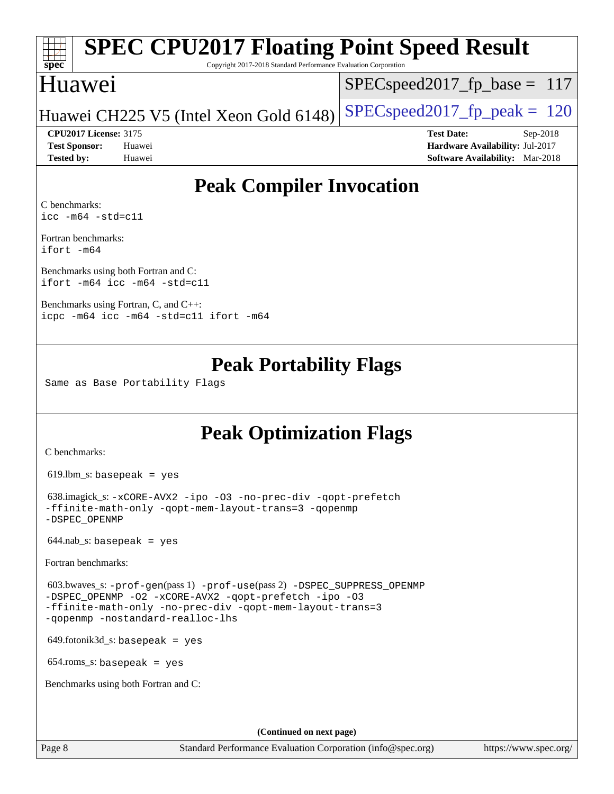### **[spec](http://www.spec.org/) [SPEC CPU2017 Floating Point Speed Result](http://www.spec.org/auto/cpu2017/Docs/result-fields.html#SPECCPU2017FloatingPointSpeedResult)**

Copyright 2017-2018 Standard Performance Evaluation Corporation

### Huawei

SPECspeed2017 fp base =  $117$ 

Huawei CH225 V5 (Intel Xeon Gold 6148) SPECspeed2017\_fp\_peak  $= 120$ 

**[Tested by:](http://www.spec.org/auto/cpu2017/Docs/result-fields.html#Testedby)** Huawei **[Software Availability:](http://www.spec.org/auto/cpu2017/Docs/result-fields.html#SoftwareAvailability)** Mar-2018

**[CPU2017 License:](http://www.spec.org/auto/cpu2017/Docs/result-fields.html#CPU2017License)** 3175 **[Test Date:](http://www.spec.org/auto/cpu2017/Docs/result-fields.html#TestDate)** Sep-2018 **[Test Sponsor:](http://www.spec.org/auto/cpu2017/Docs/result-fields.html#TestSponsor)** Huawei **[Hardware Availability:](http://www.spec.org/auto/cpu2017/Docs/result-fields.html#HardwareAvailability)** Jul-2017

## **[Peak Compiler Invocation](http://www.spec.org/auto/cpu2017/Docs/result-fields.html#PeakCompilerInvocation)**

[C benchmarks](http://www.spec.org/auto/cpu2017/Docs/result-fields.html#Cbenchmarks): [icc -m64 -std=c11](http://www.spec.org/cpu2017/results/res2018q4/cpu2017-20181007-09082.flags.html#user_CCpeak_intel_icc_64bit_c11_33ee0cdaae7deeeab2a9725423ba97205ce30f63b9926c2519791662299b76a0318f32ddfffdc46587804de3178b4f9328c46fa7c2b0cd779d7a61945c91cd35)

[Fortran benchmarks](http://www.spec.org/auto/cpu2017/Docs/result-fields.html#Fortranbenchmarks): [ifort -m64](http://www.spec.org/cpu2017/results/res2018q4/cpu2017-20181007-09082.flags.html#user_FCpeak_intel_ifort_64bit_24f2bb282fbaeffd6157abe4f878425411749daecae9a33200eee2bee2fe76f3b89351d69a8130dd5949958ce389cf37ff59a95e7a40d588e8d3a57e0c3fd751)

[Benchmarks using both Fortran and C](http://www.spec.org/auto/cpu2017/Docs/result-fields.html#BenchmarksusingbothFortranandC): [ifort -m64](http://www.spec.org/cpu2017/results/res2018q4/cpu2017-20181007-09082.flags.html#user_CC_FCpeak_intel_ifort_64bit_24f2bb282fbaeffd6157abe4f878425411749daecae9a33200eee2bee2fe76f3b89351d69a8130dd5949958ce389cf37ff59a95e7a40d588e8d3a57e0c3fd751) [icc -m64 -std=c11](http://www.spec.org/cpu2017/results/res2018q4/cpu2017-20181007-09082.flags.html#user_CC_FCpeak_intel_icc_64bit_c11_33ee0cdaae7deeeab2a9725423ba97205ce30f63b9926c2519791662299b76a0318f32ddfffdc46587804de3178b4f9328c46fa7c2b0cd779d7a61945c91cd35)

[Benchmarks using Fortran, C, and C++:](http://www.spec.org/auto/cpu2017/Docs/result-fields.html#BenchmarksusingFortranCandCXX) [icpc -m64](http://www.spec.org/cpu2017/results/res2018q4/cpu2017-20181007-09082.flags.html#user_CC_CXX_FCpeak_intel_icpc_64bit_4ecb2543ae3f1412ef961e0650ca070fec7b7afdcd6ed48761b84423119d1bf6bdf5cad15b44d48e7256388bc77273b966e5eb805aefd121eb22e9299b2ec9d9) [icc -m64 -std=c11](http://www.spec.org/cpu2017/results/res2018q4/cpu2017-20181007-09082.flags.html#user_CC_CXX_FCpeak_intel_icc_64bit_c11_33ee0cdaae7deeeab2a9725423ba97205ce30f63b9926c2519791662299b76a0318f32ddfffdc46587804de3178b4f9328c46fa7c2b0cd779d7a61945c91cd35) [ifort -m64](http://www.spec.org/cpu2017/results/res2018q4/cpu2017-20181007-09082.flags.html#user_CC_CXX_FCpeak_intel_ifort_64bit_24f2bb282fbaeffd6157abe4f878425411749daecae9a33200eee2bee2fe76f3b89351d69a8130dd5949958ce389cf37ff59a95e7a40d588e8d3a57e0c3fd751)

### **[Peak Portability Flags](http://www.spec.org/auto/cpu2017/Docs/result-fields.html#PeakPortabilityFlags)**

Same as Base Portability Flags

### **[Peak Optimization Flags](http://www.spec.org/auto/cpu2017/Docs/result-fields.html#PeakOptimizationFlags)**

[C benchmarks](http://www.spec.org/auto/cpu2017/Docs/result-fields.html#Cbenchmarks):

619.lbm\_s: basepeak = yes

```
 638.imagick_s: -xCORE-AVX2 -ipo -O3 -no-prec-div -qopt-prefetch
-ffinite-math-only -qopt-mem-layout-trans=3 -qopenmp
-DSPEC_OPENMP
```
 $644.nab$ <sub>S</sub>: basepeak = yes

[Fortran benchmarks](http://www.spec.org/auto/cpu2017/Docs/result-fields.html#Fortranbenchmarks):

```
 603.bwaves_s: -prof-gen(pass 1) -prof-use(pass 2) -DSPEC_SUPPRESS_OPENMP
-DSPEC_OPENMP -O2 -xCORE-AVX2 -qopt-prefetch -ipo -O3
-ffinite-math-only -no-prec-div -qopt-mem-layout-trans=3
-qopenmp -nostandard-realloc-lhs
```
649.fotonik3d\_s: basepeak = yes

654.roms\_s: basepeak = yes

[Benchmarks using both Fortran and C](http://www.spec.org/auto/cpu2017/Docs/result-fields.html#BenchmarksusingbothFortranandC):

**(Continued on next page)**